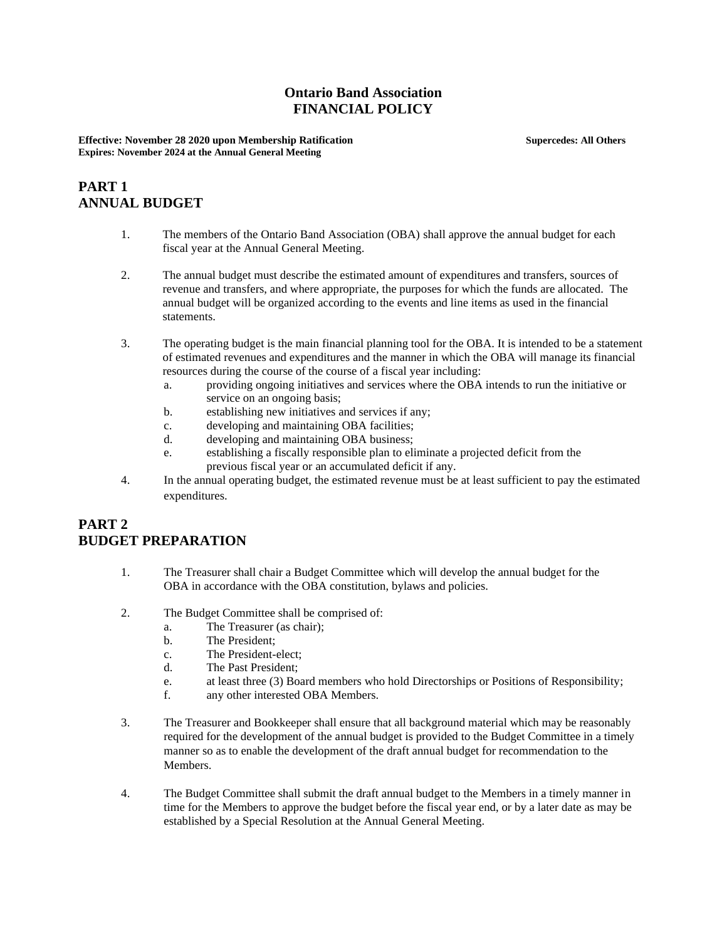### **Ontario Band Association FINANCIAL POLICY**

**Effective: November 28 2020 upon Membership Ratification Supercedes: All Others Expires: November 2024 at the Annual General Meeting**

# **PART 1 ANNUAL BUDGET**

- 1. The members of the Ontario Band Association (OBA) shall approve the annual budget for each fiscal year at the Annual General Meeting.
- 2. The annual budget must describe the estimated amount of expenditures and transfers, sources of revenue and transfers, and where appropriate, the purposes for which the funds are allocated. The annual budget will be organized according to the events and line items as used in the financial statements.
- 3. The operating budget is the main financial planning tool for the OBA. It is intended to be a statement of estimated revenues and expenditures and the manner in which the OBA will manage its financial resources during the course of the course of a fiscal year including:
	- a. providing ongoing initiatives and services where the OBA intends to run the initiative or service on an ongoing basis;
	- b. establishing new initiatives and services if any;
	- c. developing and maintaining OBA facilities;
	- d. developing and maintaining OBA business;
	- e. establishing a fiscally responsible plan to eliminate a projected deficit from the previous fiscal year or an accumulated deficit if any.
- 4. In the annual operating budget, the estimated revenue must be at least sufficient to pay the estimated expenditures.

### **PART 2 BUDGET PREPARATION**

- 1. The Treasurer shall chair a Budget Committee which will develop the annual budget for the OBA in accordance with the OBA constitution, bylaws and policies.
- 2. The Budget Committee shall be comprised of:
	- a. The Treasurer (as chair);<br>
	h The President:
	- The President:
	- c. The President-elect;
	- d. The Past President;
	- e. at least three (3) Board members who hold Directorships or Positions of Responsibility;
	- f. any other interested OBA Members.
- 3. The Treasurer and Bookkeeper shall ensure that all background material which may be reasonably required for the development of the annual budget is provided to the Budget Committee in a timely manner so as to enable the development of the draft annual budget for recommendation to the Members.
- 4. The Budget Committee shall submit the draft annual budget to the Members in a timely manner in time for the Members to approve the budget before the fiscal year end, or by a later date as may be established by a Special Resolution at the Annual General Meeting.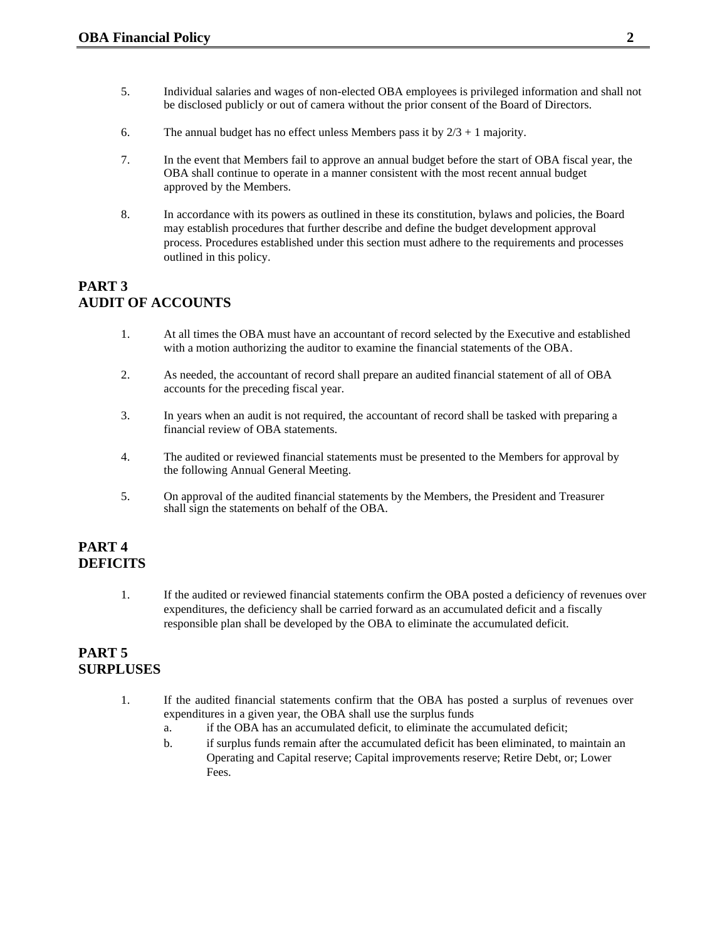- 5. Individual salaries and wages of non-elected OBA employees is privileged information and shall not be disclosed publicly or out of camera without the prior consent of the Board of Directors.
- 6. The annual budget has no effect unless Members pass it by  $2/3 + 1$  majority.
- 7. In the event that Members fail to approve an annual budget before the start of OBA fiscal year, the OBA shall continue to operate in a manner consistent with the most recent annual budget approved by the Members.
- 8. In accordance with its powers as outlined in these its constitution, bylaws and policies, the Board may establish procedures that further describe and define the budget development approval process. Procedures established under this section must adhere to the requirements and processes outlined in this policy.

# **PART 3 AUDIT OF ACCOUNTS**

- 1. At all times the OBA must have an accountant of record selected by the Executive and established with a motion authorizing the auditor to examine the financial statements of the OBA.
- 2. As needed, the accountant of record shall prepare an audited financial statement of all of OBA accounts for the preceding fiscal year.
- 3. In years when an audit is not required, the accountant of record shall be tasked with preparing a financial review of OBA statements.
- 4. The audited or reviewed financial statements must be presented to the Members for approval by the following Annual General Meeting.
- 5. On approval of the audited financial statements by the Members, the President and Treasurer shall sign the statements on behalf of the OBA.

# **PART 4 DEFICITS**

1. If the audited or reviewed financial statements confirm the OBA posted a deficiency of revenues over expenditures, the deficiency shall be carried forward as an accumulated deficit and a fiscally responsible plan shall be developed by the OBA to eliminate the accumulated deficit.

# **PART 5 SURPLUSES**

- 1. If the audited financial statements confirm that the OBA has posted a surplus of revenues over expenditures in a given year, the OBA shall use the surplus funds
	- a. if the OBA has an accumulated deficit, to eliminate the accumulated deficit;
	- b. if surplus funds remain after the accumulated deficit has been eliminated, to maintain an Operating and Capital reserve; Capital improvements reserve; Retire Debt, or; Lower Fees.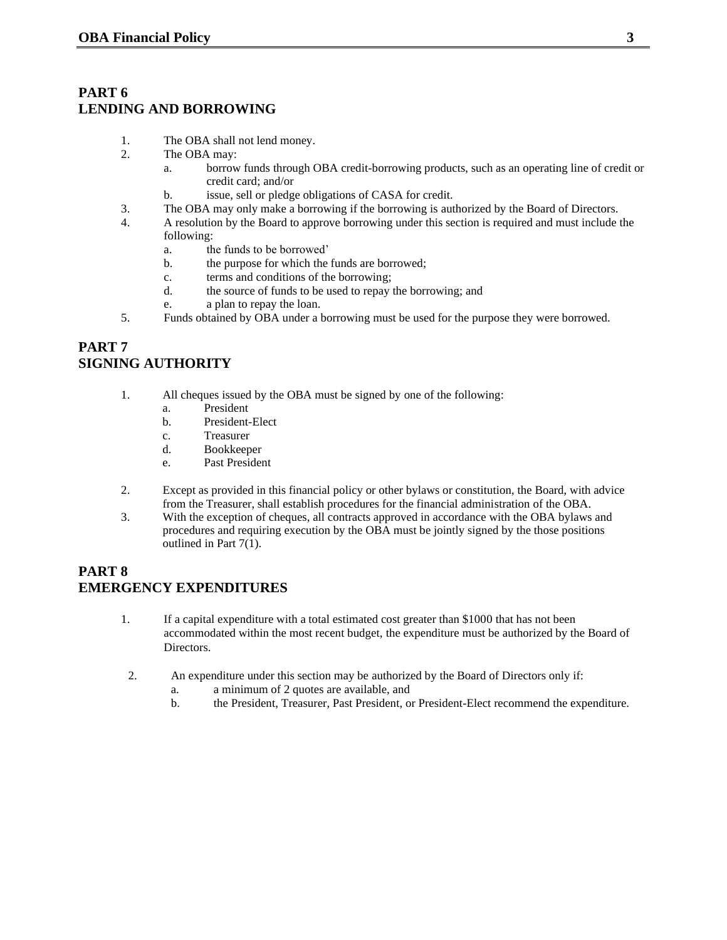#### **PART 6 LENDING AND BORROWING**

- 1. The OBA shall not lend money.
- 2. The OBA may:
	- a. borrow funds through OBA credit-borrowing products, such as an operating line of credit or credit card; and/or
	- b. issue, sell or pledge obligations of CASA for credit.
- 3. The OBA may only make a borrowing if the borrowing is authorized by the Board of Directors.
- 4. A resolution by the Board to approve borrowing under this section is required and must include the following:
	- a. the funds to be borrowed'
	- b. the purpose for which the funds are borrowed;
	- c. terms and conditions of the borrowing;
	- d. the source of funds to be used to repay the borrowing; and
	- e. a plan to repay the loan.
- 5. Funds obtained by OBA under a borrowing must be used for the purpose they were borrowed.

# **PART 7 SIGNING AUTHORITY**

- 1. All cheques issued by the OBA must be signed by one of the following:
	- a. President
	- b. President-Elect
	- c. Treasurer
	- d. Bookkeeper
	- e. Past President
- 2. Except as provided in this financial policy or other bylaws or constitution, the Board, with advice from the Treasurer, shall establish procedures for the financial administration of the OBA.
- 3. With the exception of cheques, all contracts approved in accordance with the OBA bylaws and procedures and requiring execution by the OBA must be jointly signed by the those positions outlined in Part 7(1).

### **PART 8 EMERGENCY EXPENDITURES**

- 1. If a capital expenditure with a total estimated cost greater than \$1000 that has not been accommodated within the most recent budget, the expenditure must be authorized by the Board of Directors.
- 2. An expenditure under this section may be authorized by the Board of Directors only if:
	- a. a minimum of 2 quotes are available, and
	- b. the President, Treasurer, Past President, or President-Elect recommend the expenditure.